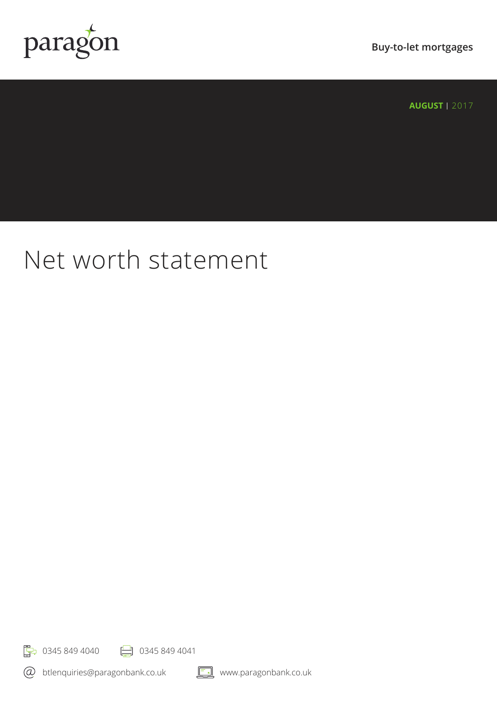

**Buy-to-let mortgages**

**AUGUST | 2017** 

## Net worth statement

**F**<sub>7</sub> 0345 849 4040 **P** 0345 849 4041

btlenquiries@paragonbank.co.uk

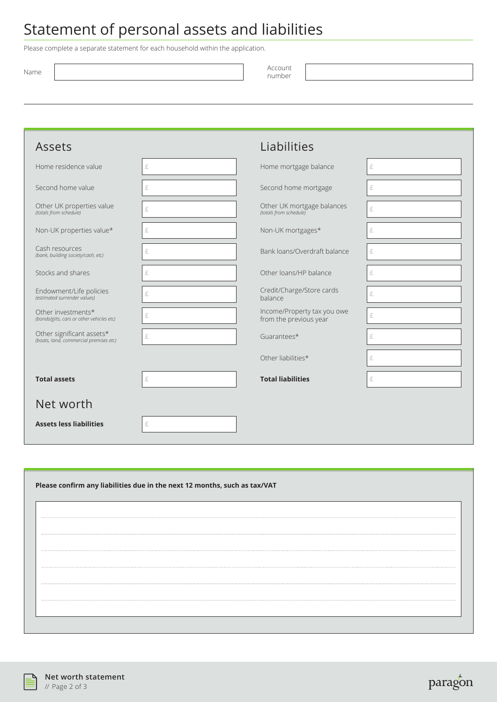## Statement of personal assets and liabilities

Please complete a separate statement for each household within the application.

| Name | Account |
|------|---------|
|      | number  |

| Assets                                                              |   | Liabilities                                           |   |
|---------------------------------------------------------------------|---|-------------------------------------------------------|---|
| Home residence value                                                | £ | Home mortgage balance                                 | £ |
| Second home value                                                   | £ | Second home mortgage                                  | £ |
| Other UK properties value<br>(totals from schedule)                 | £ | Other UK mortgage balances<br>(totals from schedule)  | £ |
| Non-UK properties value*                                            | £ | Non-UK mortgages*                                     | £ |
| Cash resources<br>(bank, building society/cash, etc)                | £ | Bank loans/Overdraft balance                          | £ |
| Stocks and shares                                                   | £ | Other loans/HP balance                                | £ |
| Endowment/Life policies<br>(estimated surrender values)             | £ | Credit/Charge/Store cards<br>balance                  | £ |
| Other investments*<br>(bonds/gilts, cars or other vehicles etc)     | £ | Income/Property tax you owe<br>from the previous year | £ |
| Other significant assets*<br>(boats, land, commercial premises etc) | £ | Guarantees*                                           | £ |
|                                                                     |   | Other liabilities*                                    | £ |
| <b>Total assets</b>                                                 | £ | <b>Total liabilities</b>                              | £ |
| Net worth                                                           |   |                                                       |   |
| <b>Assets less liabilities</b>                                      | £ |                                                       |   |

| Please confirm any liabilities due in the next 12 months, such as tax/VAT |  |  |  |  |
|---------------------------------------------------------------------------|--|--|--|--|
|                                                                           |  |  |  |  |
|                                                                           |  |  |  |  |
|                                                                           |  |  |  |  |
|                                                                           |  |  |  |  |
|                                                                           |  |  |  |  |
|                                                                           |  |  |  |  |
|                                                                           |  |  |  |  |